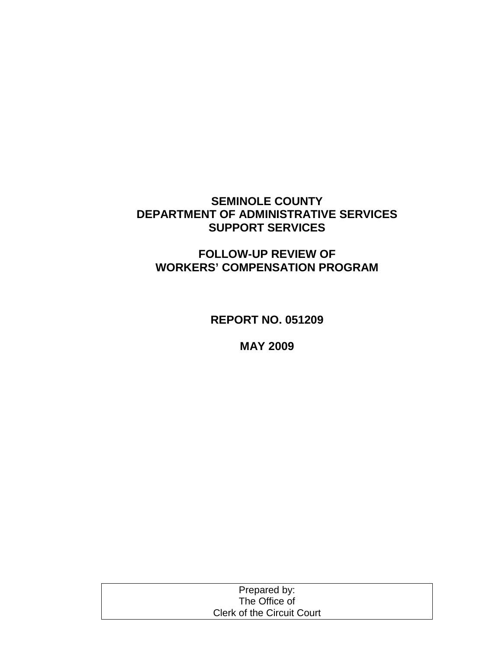# **SEMINOLE COUNTY DEPARTMENT OF ADMINISTRATIVE SERVICES SUPPORT SERVICES**

# **FOLLOW-UP REVIEW OF WORKERS' COMPENSATION PROGRAM**

**REPORT NO. 051209**

**MAY 2009**

| Prepared by:                      |  |
|-----------------------------------|--|
| The Office of                     |  |
| <b>Clerk of the Circuit Court</b> |  |
|                                   |  |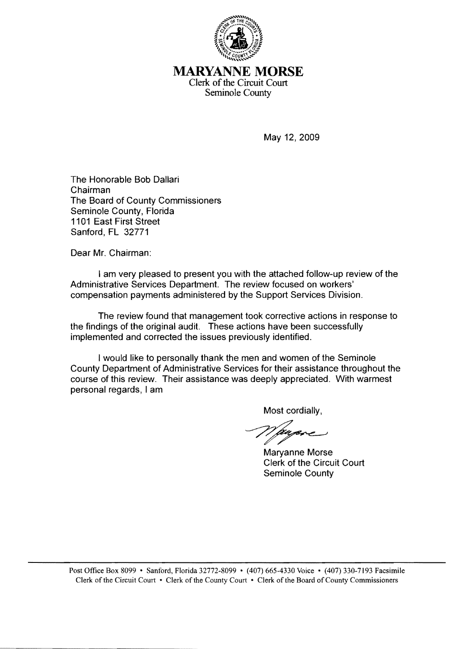

## MARYANNE **MORSE** Clerk of the Circuit Court Seminole County

May 12, 2009

The Honorable Bob Dallari Chairman The Board of County Commissioners Seminole County, Florida 1101 East First Street Sanford, FL 32771

Dear Mr. Chairman:

I am very pleased to present you with the attached follow-up review of the Administrative Services Department. The review focused on workers' compensation payments administered by the Support Services Division.

The review found that management took corrective actions in response to the findings of the original audit. These actions have been successfully implemented and corrected the issues previously identified.

I would like to personally thank the men and women of the Seminole County Department of Administrative Services for their assistance throughout the course of this review. Their assistance was deeply appreciated. With warmest personal regards, I am

Most cordially,

Maryanne Morse Clerk of the Circuit Court Seminole County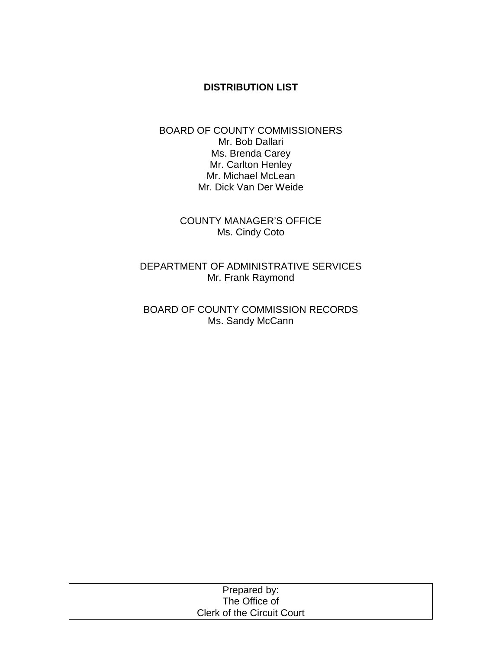### **DISTRIBUTION LIST**

#### BOARD OF COUNTY COMMISSIONERS Mr. Bob Dallari Ms. Brenda Carey Mr. Carlton Henley Mr. Michael McLean Mr. Dick Van Der Weide

COUNTY MANAGER'S OFFICE Ms. Cindy Coto

DEPARTMENT OF ADMINISTRATIVE SERVICES Mr. Frank Raymond

BOARD OF COUNTY COMMISSION RECORDS Ms. Sandy McCann

| Prepared by:                      |  |
|-----------------------------------|--|
| The Office of                     |  |
| <b>Clerk of the Circuit Court</b> |  |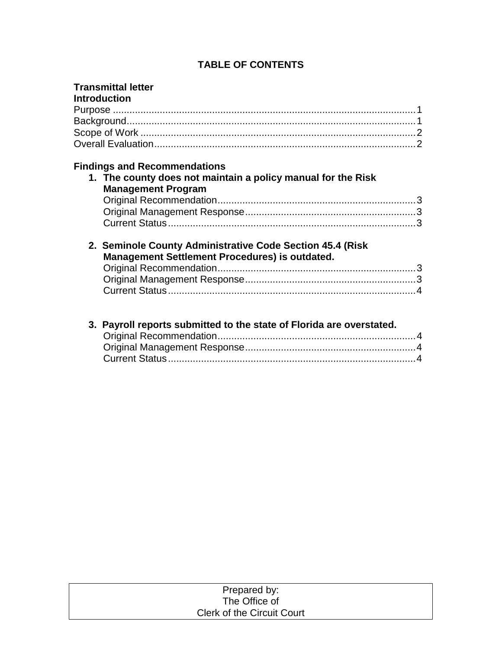# **TABLE OF CONTENTS**

| <b>Transmittal letter</b><br><b>Introduction</b>                                                                                 |  |
|----------------------------------------------------------------------------------------------------------------------------------|--|
| <b>Findings and Recommendations</b><br>1. The county does not maintain a policy manual for the Risk<br><b>Management Program</b> |  |
|                                                                                                                                  |  |
|                                                                                                                                  |  |
| 2. Seminole County Administrative Code Section 45.4 (Risk)<br>Management Settlement Procedures) is outdated.                     |  |
| 3. Payroll reports submitted to the state of Florida are overstated.                                                             |  |

| Prepared by:                      |  |
|-----------------------------------|--|
| The Office of                     |  |
| <b>Clerk of the Circuit Court</b> |  |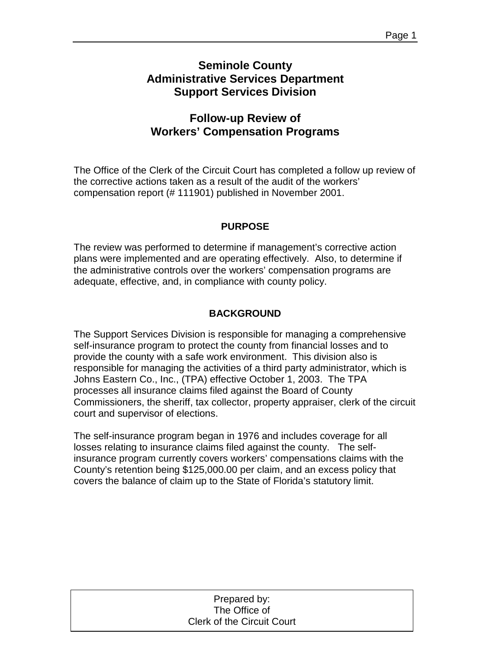# **Seminole County Administrative Services Department Support Services Division**

# **Follow-up Review of Workers' Compensation Programs**

The Office of the Clerk of the Circuit Court has completed a follow up review of the corrective actions taken as a result of the audit of the workers' compensation report (# 111901) published in November 2001.

### **PURPOSE**

The review was performed to determine if management's corrective action plans were implemented and are operating effectively. Also, to determine if the administrative controls over the workers' compensation programs are adequate, effective, and, in compliance with county policy.

## **BACKGROUND**

The Support Services Division is responsible for managing a comprehensive self-insurance program to protect the county from financial losses and to provide the county with a safe work environment. This division also is responsible for managing the activities of a third party administrator, which is Johns Eastern Co., Inc., (TPA) effective October 1, 2003. The TPA processes all insurance claims filed against the Board of County Commissioners, the sheriff, tax collector, property appraiser, clerk of the circuit court and supervisor of elections.

The self-insurance program began in 1976 and includes coverage for all losses relating to insurance claims filed against the county. The selfinsurance program currently covers workers' compensations claims with the County's retention being \$125,000.00 per claim, and an excess policy that covers the balance of claim up to the State of Florida's statutory limit.

| Prepared by:                      |
|-----------------------------------|
| The Office of                     |
| <b>Clerk of the Circuit Court</b> |
|                                   |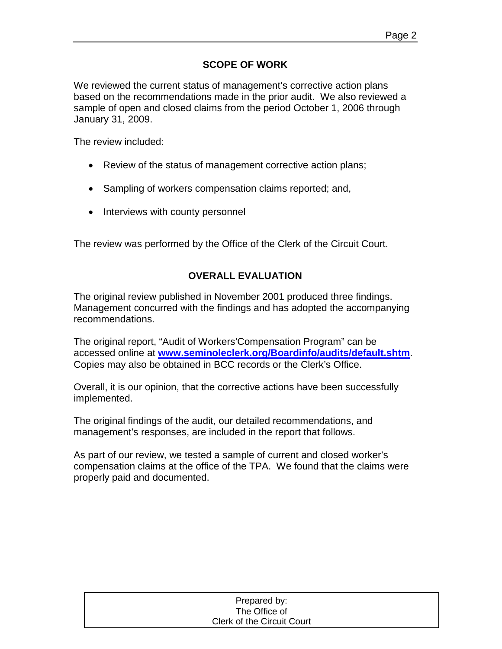## **SCOPE OF WORK**

We reviewed the current status of management's corrective action plans based on the recommendations made in the prior audit. We also reviewed a sample of open and closed claims from the period October 1, 2006 through January 31, 2009.

The review included:

- Review of the status of management corrective action plans;
- Sampling of workers compensation claims reported; and,
- Interviews with county personnel

The review was performed by the Office of the Clerk of the Circuit Court.

## **OVERALL EVALUATION**

The original review published in November 2001 produced three findings. Management concurred with the findings and has adopted the accompanying recommendations.

The original report, "Audit of Workers'Compensation Program" can be accessed online at **[www.seminoleclerk.org/Boardinfo/audits/default.shtm](http://www.seminoleclerk.org/Boardinfo/audits/default.shtm)**. Copies may also be obtained in BCC records or the Clerk's Office.

Overall, it is our opinion, that the corrective actions have been successfully implemented.

The original findings of the audit, our detailed recommendations, and management's responses, are included in the report that follows.

As part of our review, we tested a sample of current and closed worker's compensation claims at the office of the TPA. We found that the claims were properly paid and documented.

| Prepared by:               |  |
|----------------------------|--|
| The Office of              |  |
| Clerk of the Circuit Court |  |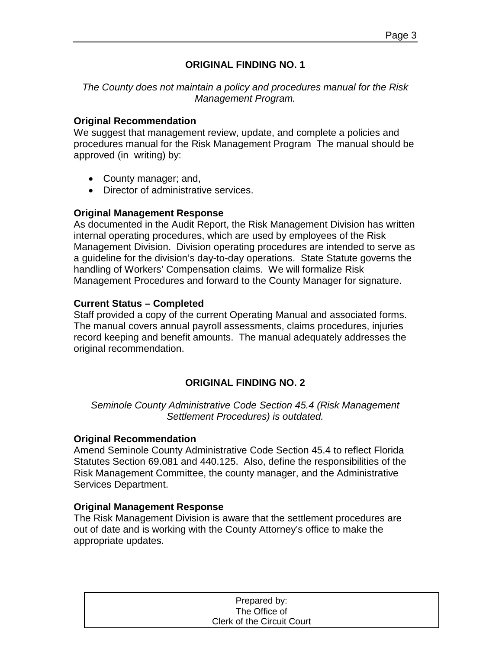## **ORIGINAL FINDING NO. 1**

*The County does not maintain a policy and procedures manual for the Risk Management Program.*

#### **Original Recommendation**

We suggest that management review, update, and complete a policies and procedures manual for the Risk Management Program The manual should be approved (in writing) by:

- County manager; and,
- Director of administrative services.

#### **Original Management Response**

As documented in the Audit Report, the Risk Management Division has written internal operating procedures, which are used by employees of the Risk Management Division. Division operating procedures are intended to serve as a guideline for the division's day-to-day operations. State Statute governs the handling of Workers' Compensation claims. We will formalize Risk Management Procedures and forward to the County Manager for signature.

### **Current Status – Completed**

Staff provided a copy of the current Operating Manual and associated forms. The manual covers annual payroll assessments, claims procedures, injuries record keeping and benefit amounts. The manual adequately addresses the original recommendation.

## **ORIGINAL FINDING NO. 2**

*Seminole County Administrative Code Section 45.4 (Risk Management Settlement Procedures) is outdated.*

#### **Original Recommendation**

Amend Seminole County Administrative Code Section 45.4 to reflect Florida Statutes Section 69.081 and 440.125. Also, define the responsibilities of the Risk Management Committee, the county manager, and the Administrative Services Department.

### **Original Management Response**

The Risk Management Division is aware that the settlement procedures are out of date and is working with the County Attorney's office to make the appropriate updates.

| Prepared by:                      |  |
|-----------------------------------|--|
| The Office of                     |  |
| <b>Clerk of the Circuit Court</b> |  |